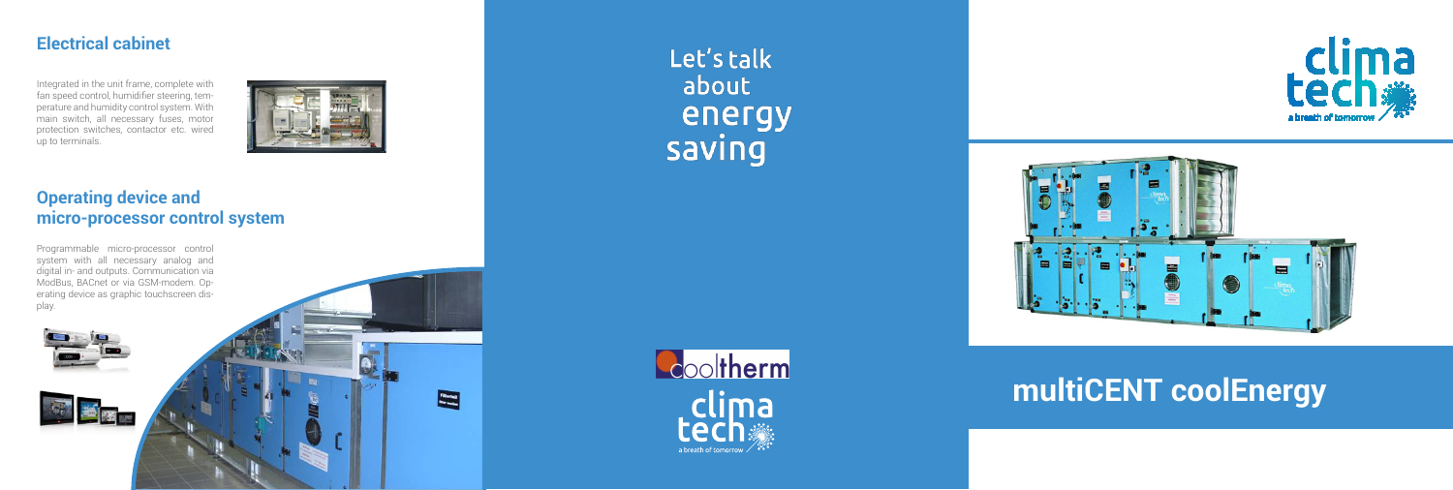# **multiCENT coolEnergy**

### **Electrical cabinet**

Integrated in the unit frame, complete with fan speed control, humidifier steering, tem perature and humidity control system. With main switch, all necessary fuses, motor protection switches, contactor etc. wired up to terminals.



 $\blacksquare$ 

### **Operating device and micro-processor control system**

Programmable micro-processor control system with all necessary analog and digital in- and outputs. Communication via ModBus, BACnet or via GSM-modem. Op erating device as graphic touchscreen dis play.





Let's talk about energy saving